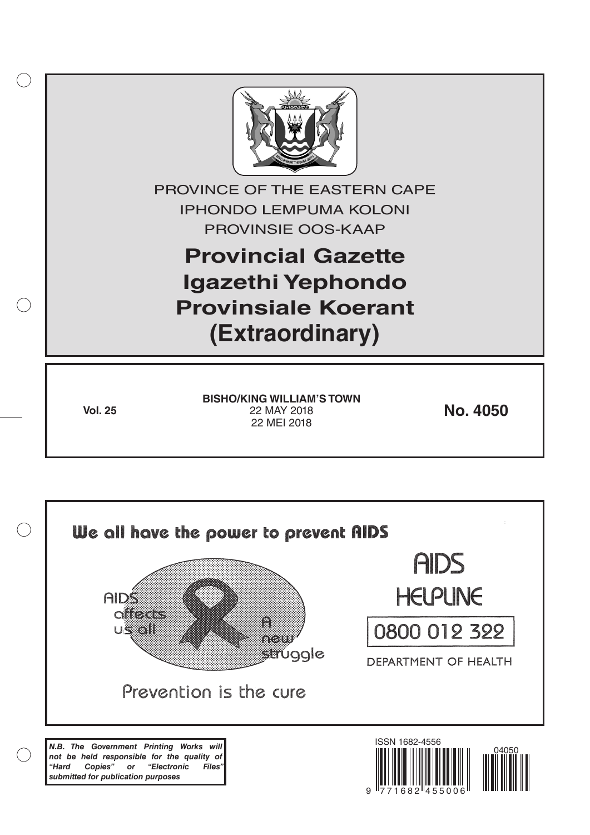

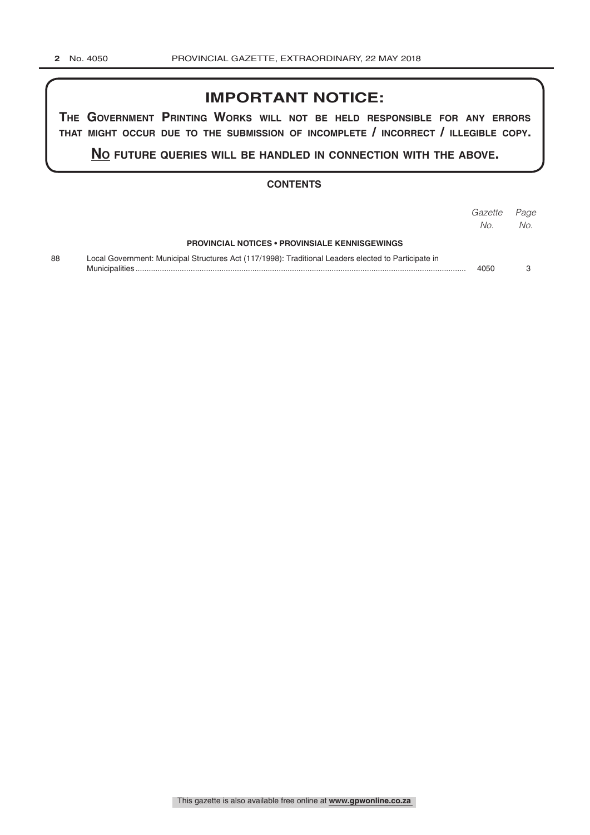# **IMPORTANT NOTICE:**

**The GovernmenT PrinTinG Works Will noT be held resPonsible for any errors ThaT miGhT occur due To The submission of incomPleTe / incorrecT / illeGible coPy.**

**no fuTure queries Will be handled in connecTion WiTh The above.**

#### **CONTENTS**

|    |                                                                                                      | Gazette<br>No. | Page<br>No. |
|----|------------------------------------------------------------------------------------------------------|----------------|-------------|
|    | <b>PROVINCIAL NOTICES • PROVINSIALE KENNISGEWINGS</b>                                                |                |             |
| 88 | Local Government: Municipal Structures Act (117/1998): Traditional Leaders elected to Participate in | 4050           |             |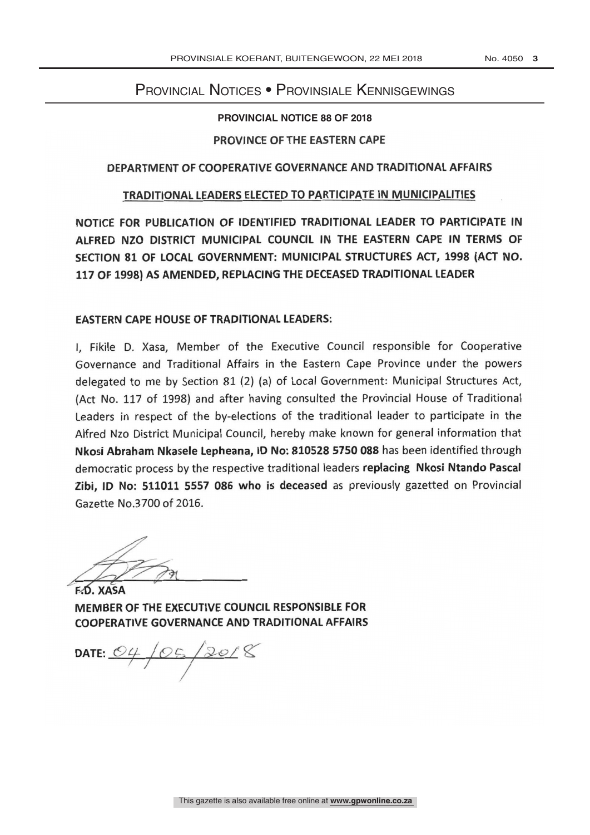## Provincial Notices • Provinsiale Kennisgewings

**PROVINCIAL NOTICE 88 OF 2018** 

#### PROVINCE OF THE EASTERN CAPE

#### DEPARTMENT OF COOPERATIVE GOVERNANCE AND TRADITIONAL AFFAIRS

#### TRADITIONAL LEADERS ELECTED TO PARTICIPATE IN MUNICIPALITIES

NOTICE FOR PUBLICATION OF IDENTIFIED TRADITIONAL LEADER TO PARTICIPATE IN ALFRED NZO DISTRICT MUNICIPAL COUNCIL IN THE EASTERN CAPE IN TERMS OF SECTION 81 OF LOCAL GOVERNMENT: MUNICIPAL STRUCTURES ACT, 1998 (ACT NO. 117 OF 1998) AS AMENDED, REPLACING THE DECEASED TRADITIONAL LEADER

### EASTERN CAPE HOUSE OF TRADITIONAL LEADERS:

I, Fikile D. Xasa, Member of the Executive Council responsible for Cooperative Governance and Traditional Affairs in the Eastern Cape Province under the powers delegated to me by Section 81 (2) (a) of Local Government: Municipal Structures Act, (Act No. 117 of 1998) and after having consulted the Provincial House of Traditional Leaders in respect of the by-elections of the traditional leader to participate in the Alfred Nzo District Municipal Council, hereby make known for general information that Nkosi Abraham Nkasele Lepheana, ID No: 810528 5750 088 has been identified through democratic process by the respective traditional leaders replacing Nkosi Ntando Pascal Zibi, ID No: 511011 5557 086 who is deceased as previously gazetted on Provincial Gazette No.3700 of 2016.

**E.D. XASA** MEMBER OF THE EXECUTIVE COUNCIL RESPONSIBLE FOR COOPERATIVE GOVERNANCE AND TRADITIONAL AFFAIRS

DATE: 04/05/20/8